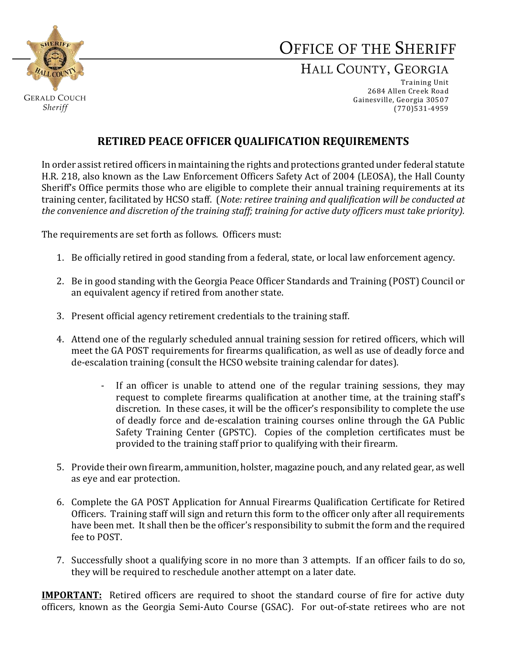

# OFFICE OF THE SHERIFF

## HALL COUNTY, GEORGIA

Training Unit 2684 Allen Creek Road Gainesville, Georgia 30507 (770)531-4959

## **RETIRED PEACE OFFICER QUALIFICATION REQUIREMENTS**

In order assist retired officers in maintaining the rights and protections granted under federal statute H.R. 218, also known as the Law Enforcement Officers Safety Act of 2004 (LEOSA), the Hall County Sheriff's Office permits those who are eligible to complete their annual training requirements at its training center, facilitated by HCSO staff. (*Note: retiree training and qualification will be conducted at the convenience and discretion of the training staff; training for active duty officers must take priority).*

The requirements are set forth as follows. Officers must:

- 1. Be officially retired in good standing from a federal, state, or local law enforcement agency.
- 2. Be in good standing with the Georgia Peace Officer Standards and Training (POST) Council or an equivalent agency if retired from another state.
- 3. Present official agency retirement credentials to the training staff.
- 4. Attend one of the regularly scheduled annual training session for retired officers, which will meet the GA POST requirements for firearms qualification, as well as use of deadly force and de-escalation training (consult the HCSO website training calendar for dates).
	- If an officer is unable to attend one of the regular training sessions, they may request to complete firearms qualification at another time, at the training staff's discretion. In these cases, it will be the officer's responsibility to complete the use of deadly force and de-escalation training courses online through the GA Public Safety Training Center (GPSTC). Copies of the completion certificates must be provided to the training staff prior to qualifying with their firearm.
- 5. Provide their own firearm, ammunition, holster, magazine pouch, and any related gear, as well as eye and ear protection.
- 6. Complete the GA POST Application for Annual Firearms Qualification Certificate for Retired Officers. Training staff will sign and return this form to the officer only after all requirements have been met. It shall then be the officer's responsibility to submit the form and the required fee to POST.
- 7. Successfully shoot a qualifying score in no more than 3 attempts. If an officer fails to do so, they will be required to reschedule another attempt on a later date.

**IMPORTANT:** Retired officers are required to shoot the standard course of fire for active duty officers, known as the Georgia Semi-Auto Course (GSAC). For out-of-state retirees who are not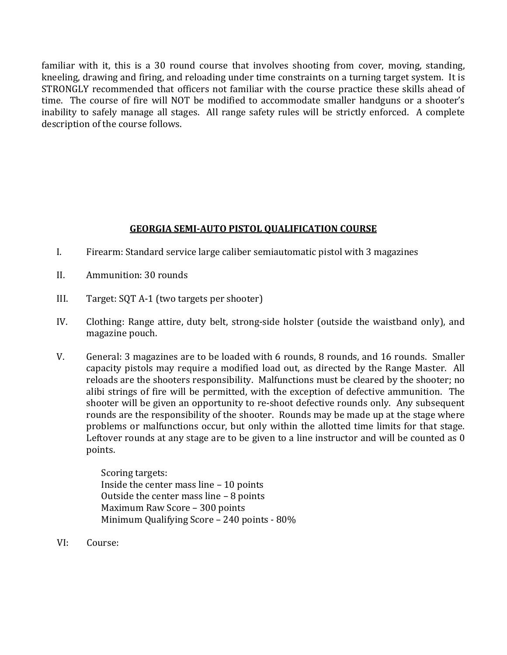familiar with it, this is a 30 round course that involves shooting from cover, moving, standing, kneeling, drawing and firing, and reloading under time constraints on a turning target system. It is STRONGLY recommended that officers not familiar with the course practice these skills ahead of time. The course of fire will NOT be modified to accommodate smaller handguns or a shooter's inability to safely manage all stages. All range safety rules will be strictly enforced. A complete description of the course follows.

#### **GEORGIA SEMI-AUTO PISTOL QUALIFICATION COURSE**

- I. Firearm: Standard service large caliber semiautomatic pistol with 3 magazines
- II. Ammunition: 30 rounds
- III. Target: SQT A-1 (two targets per shooter)
- IV. Clothing: Range attire, duty belt, strong-side holster (outside the waistband only), and magazine pouch.
- V. General: 3 magazines are to be loaded with 6 rounds, 8 rounds, and 16 rounds. Smaller capacity pistols may require a modified load out, as directed by the Range Master. All reloads are the shooters responsibility. Malfunctions must be cleared by the shooter; no alibi strings of fire will be permitted, with the exception of defective ammunition. The shooter will be given an opportunity to re-shoot defective rounds only. Any subsequent rounds are the responsibility of the shooter. Rounds may be made up at the stage where problems or malfunctions occur, but only within the allotted time limits for that stage. Leftover rounds at any stage are to be given to a line instructor and will be counted as 0 points.

Scoring targets: Inside the center mass line – 10 points Outside the center mass line – 8 points Maximum Raw Score – 300 points Minimum Qualifying Score – 240 points - 80%

VI: Course: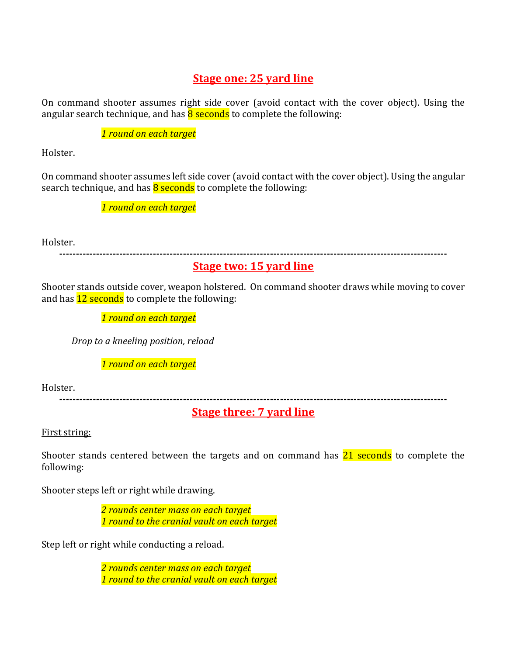## **Stage one: 25 yard line**

On command shooter assumes right side cover (avoid contact with the cover object). Using the angular search technique, and has  $\frac{8}{9}$  seconds to complete the following:

*1 round on each target*

Holster.

On command shooter assumes left side cover (avoid contact with the cover object). Using the angular search technique, and has  $8$  seconds to complete the following:

*1 round on each target*

Holster.

**--------------------------------------------------------------------------------------------------------------------**

## **Stage two: 15 yard line**

Shooter stands outside cover, weapon holstered. On command shooter draws while moving to cover and has **12 seconds** to complete the following:

*1 round on each target*

*Drop to a kneeling position, reload*

*1 round on each target*

Holster.

**--------------------------------------------------------------------------------------------------------------------**

**Stage three: 7 yard line**

First string:

Shooter stands centered between the targets and on command has  $21$  seconds to complete the following:

Shooter steps left or right while drawing.

*2 rounds center mass on each target 1 round to the cranial vault on each target*

Step left or right while conducting a reload.

*2 rounds center mass on each target 1 round to the cranial vault on each target*